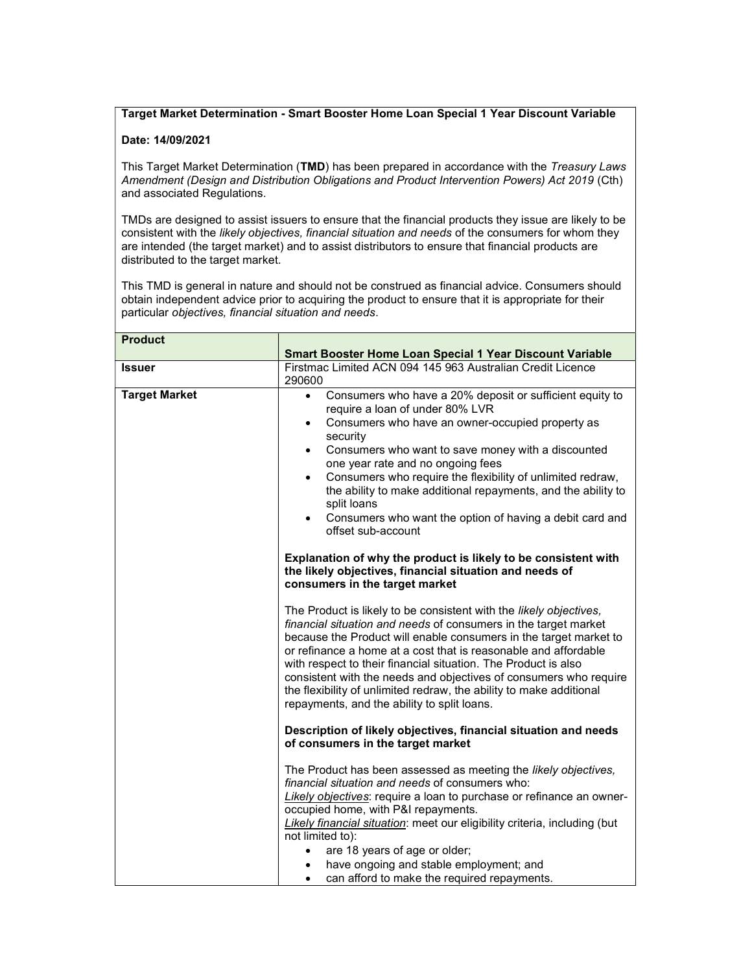## Target Market Determination - Smart Booster Home Loan Special 1 Year Discount Variable

## Date: 14/09/2021

This Target Market Determination (TMD) has been prepared in accordance with the Treasury Laws Amendment (Design and Distribution Obligations and Product Intervention Powers) Act 2019 (Cth) and associated Regulations.

TMDs are designed to assist issuers to ensure that the financial products they issue are likely to be consistent with the likely objectives, financial situation and needs of the consumers for whom they are intended (the target market) and to assist distributors to ensure that financial products are distributed to the target market.

This TMD is general in nature and should not be construed as financial advice. Consumers should obtain independent advice prior to acquiring the product to ensure that it is appropriate for their particular objectives, financial situation and needs.

| <b>Product</b>       |                                                                                                                                                                                                                                                                                                                                                                                                                                                                                                                                                                                                                                         |
|----------------------|-----------------------------------------------------------------------------------------------------------------------------------------------------------------------------------------------------------------------------------------------------------------------------------------------------------------------------------------------------------------------------------------------------------------------------------------------------------------------------------------------------------------------------------------------------------------------------------------------------------------------------------------|
|                      | Smart Booster Home Loan Special 1 Year Discount Variable                                                                                                                                                                                                                                                                                                                                                                                                                                                                                                                                                                                |
| <b>Issuer</b>        | Firstmac Limited ACN 094 145 963 Australian Credit Licence<br>290600                                                                                                                                                                                                                                                                                                                                                                                                                                                                                                                                                                    |
| <b>Target Market</b> | Consumers who have a 20% deposit or sufficient equity to<br>$\bullet$<br>require a loan of under 80% LVR<br>Consumers who have an owner-occupied property as<br>$\bullet$<br>security<br>Consumers who want to save money with a discounted<br>$\bullet$<br>one year rate and no ongoing fees<br>Consumers who require the flexibility of unlimited redraw,<br>the ability to make additional repayments, and the ability to<br>split loans<br>Consumers who want the option of having a debit card and<br>$\bullet$<br>offset sub-account<br>Explanation of why the product is likely to be consistent with                            |
|                      | the likely objectives, financial situation and needs of<br>consumers in the target market<br>The Product is likely to be consistent with the likely objectives,<br>financial situation and needs of consumers in the target market<br>because the Product will enable consumers in the target market to<br>or refinance a home at a cost that is reasonable and affordable<br>with respect to their financial situation. The Product is also<br>consistent with the needs and objectives of consumers who require<br>the flexibility of unlimited redraw, the ability to make additional<br>repayments, and the ability to split loans. |
|                      | Description of likely objectives, financial situation and needs<br>of consumers in the target market<br>The Product has been assessed as meeting the likely objectives,<br>financial situation and needs of consumers who:<br>Likely objectives: require a loan to purchase or refinance an owner-<br>occupied home, with P&I repayments.                                                                                                                                                                                                                                                                                               |
|                      | Likely financial situation: meet our eligibility criteria, including (but<br>not limited to):<br>are 18 years of age or older;<br>have ongoing and stable employment; and<br>can afford to make the required repayments.<br>$\bullet$                                                                                                                                                                                                                                                                                                                                                                                                   |